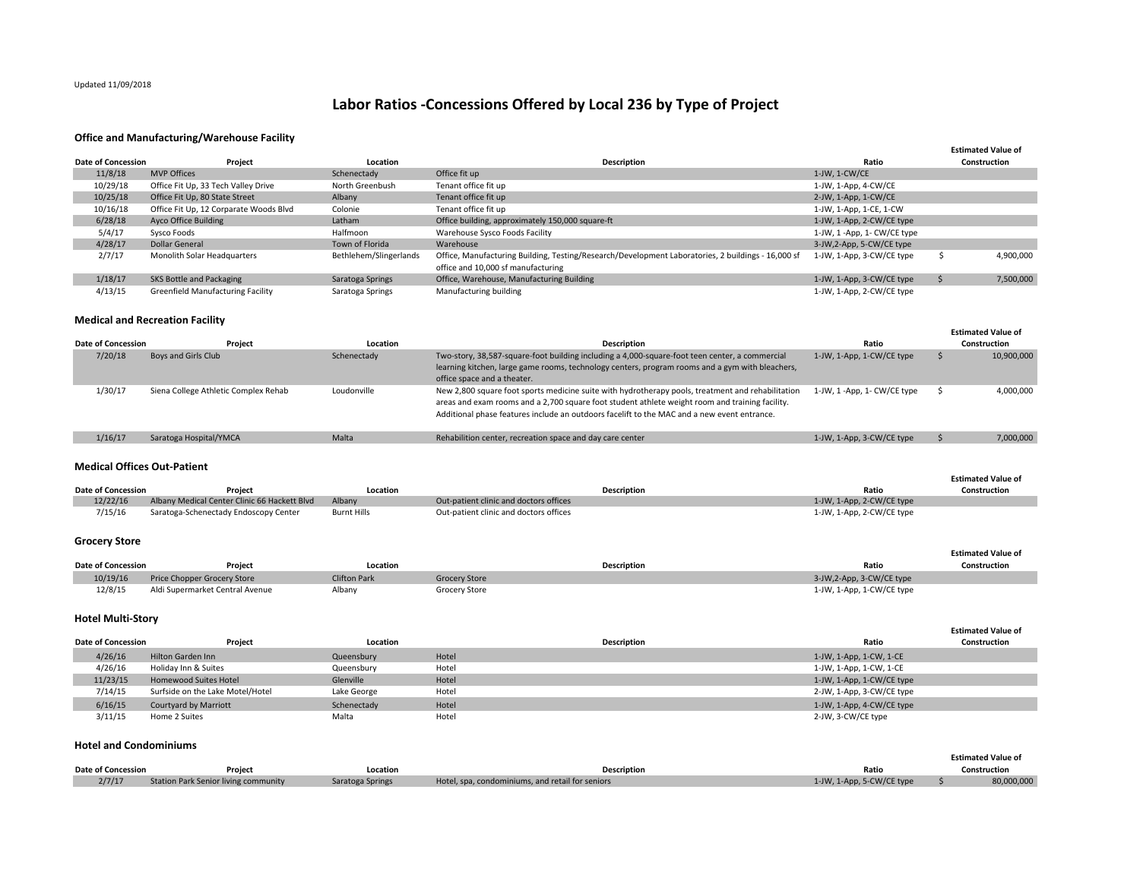# Updated 11/09/2018

# **Labor Ratios ‐Concessions Offered by Local 236 by Type of Project**

### **Office and Manufacturing/Warehouse Facility**

|                    |                                        |                        |                                                                                                    |                            | <b>Estimated Value of</b> |
|--------------------|----------------------------------------|------------------------|----------------------------------------------------------------------------------------------------|----------------------------|---------------------------|
| Date of Concession | Project                                | Location               | <b>Description</b>                                                                                 | Ratio                      | Construction              |
| 11/8/18            | <b>MVP Offices</b>                     | Schenectady            | Office fit up                                                                                      | $1$ -JW, $1$ -CW/CE        |                           |
| 10/29/18           | Office Fit Up, 33 Tech Valley Drive    | North Greenbush        | Tenant office fit up                                                                               | 1-JW, 1-App, 4-CW/CE       |                           |
| 10/25/18           | Office Fit Up, 80 State Street         | Albany                 | Tenant office fit up                                                                               | 2-JW, 1-App, 1-CW/CE       |                           |
| 10/16/18           | Office Fit Up, 12 Corparate Woods Blvd | Colonie                | Tenant office fit up                                                                               | 1-JW, 1-App, 1-CE, 1-CW    |                           |
| 6/28/18            | Ayco Office Building                   | Latham                 | Office building, approximately 150,000 square-ft                                                   | 1-JW, 1-App, 2-CW/CE type  |                           |
| 5/4/17             | Sysco Foods                            | Halfmoon               | Warehouse Sysco Foods Facility                                                                     | 1-JW, 1-App, 1- CW/CE type |                           |
| 4/28/17            | <b>Dollar General</b>                  | Town of Florida        | Warehouse                                                                                          | 3-JW,2-App, 5-CW/CE type   |                           |
| 2/7/17             | Monolith Solar Headquarters            | Bethlehem/Slingerlands | Office, Manufacturing Building, Testing/Research/Development Laboratories, 2 buildings - 16,000 sf | 1-JW, 1-App, 3-CW/CE type  | 4,900,000                 |
|                    |                                        |                        | office and 10,000 sf manufacturing                                                                 |                            |                           |
| 1/18/17            | SKS Bottle and Packaging               | Saratoga Springs       | Office, Warehouse, Manufacturing Building                                                          | 1-JW, 1-App, 3-CW/CE type  | 7,500,000                 |
| 4/13/15            | Greenfield Manufacturing Facility      | Saratoga Springs       | Manufacturing building                                                                             | 1-JW, 1-App, 2-CW/CE type  |                           |

## **Medical and Recreation Facility**

|                           |                                      |             |                                                                                                                                                                                                                                                                                                     |                            | <b>Estimated Value of</b> |
|---------------------------|--------------------------------------|-------------|-----------------------------------------------------------------------------------------------------------------------------------------------------------------------------------------------------------------------------------------------------------------------------------------------------|----------------------------|---------------------------|
| <b>Date of Concession</b> | Project                              | Location    | Description                                                                                                                                                                                                                                                                                         | Ratio                      | Construction              |
| 7/20/18                   | Boys and Girls Club                  | Schenectady | Two-story, 38,587-square-foot building including a 4,000-square-foot teen center, a commercial<br>learning kitchen, large game rooms, technology centers, program rooms and a gym with bleachers,<br>office space and a theater.                                                                    | 1-JW, 1-App, 1-CW/CE type  | 10,900,000                |
| 1/30/17                   | Siena College Athletic Complex Rehab | Loudonville | New 2,800 square foot sports medicine suite with hydrotherapy pools, treatment and rehabilitation<br>areas and exam rooms and a 2,700 square foot student athlete weight room and training facility.<br>Additional phase features include an outdoors facelift to the MAC and a new event entrance. | 1-JW, 1-App, 1- CW/CE type | 4,000,000                 |
| 1/16/17                   | Saratoga Hospital/YMCA               | Malta       | Rehabilition center, recreation space and day care center                                                                                                                                                                                                                                           | 1-JW, 1-App, 3-CW/CE type  | 7,000,000                 |

#### **Medical Offices Out‐Patient**

|                           |                                              |                    |                                        |                           | <b>Estimated Value of</b> |
|---------------------------|----------------------------------------------|--------------------|----------------------------------------|---------------------------|---------------------------|
| <b>Date of Concession</b> | Project                                      | Location           | Description                            | Ratio                     | Construction              |
| 12/22/16                  | Albany Medical Center Clinic 66 Hackett Blvd | Albany             | Out-patient clinic and doctors offices | 1-JW, 1-App, 2-CW/CE type |                           |
| 7/15/16                   | Saratoga-Schenectady Endoscopy Center        | <b>Burnt Hills</b> | Out-patient clinic and doctors offices | 1-JW, 1-App, 2-CW/CE type |                           |

# **Grocery Store**

|                           |                                 |                     |                      |                    |                           | <b>Estimated Value of</b> |
|---------------------------|---------------------------------|---------------------|----------------------|--------------------|---------------------------|---------------------------|
| <b>Date of Concession</b> | Project                         | Location            |                      | <b>Description</b> | Ratio                     | Construction              |
| 10/19/16                  | Price Chopper Grocery Store     | <b>Clifton Park</b> | <b>Grocery Store</b> |                    | 3-JW,2-App, 3-CW/CE type  |                           |
| 12/8/15                   | Aldi Supermarket Central Avenue | Albany              | Grocery Store        |                    | 1-JW, 1-App, 1-CW/CE type |                           |

# **Hotel Multi‐Story**

|                           |                                  |             |       |                    |                           | <b>Estimated Value of</b> |
|---------------------------|----------------------------------|-------------|-------|--------------------|---------------------------|---------------------------|
| <b>Date of Concession</b> | Project                          | Location    |       | <b>Description</b> | Ratio                     | Construction              |
| 4/26/16                   | <b>Hilton Garden Inn</b>         | Queensbury  | Hotel |                    | 1-JW, 1-App, 1-CW, 1-CE   |                           |
| 4/26/16                   | Holiday Inn & Suites             | Queensbury  | Hotel |                    | 1-JW, 1-App, 1-CW, 1-CE   |                           |
| 11/23/15                  | <b>Homewood Suites Hotel</b>     | Glenville   | Hotel |                    | 1-JW, 1-App, 1-CW/CE type |                           |
| 7/14/15                   | Surfside on the Lake Motel/Hotel | Lake George | Hotel |                    | 2-JW, 1-App, 3-CW/CE type |                           |
| 6/16/15                   | <b>Courtyard by Marriott</b>     | Schenectady | Hotel |                    | 1-JW, 1-App, 4-CW/CE type |                           |
| 3/11/15                   | Home 2 Suites                    | Malta       | Hotel |                    | 2-JW, 3-CW/CE type        |                           |

#### **Hotel and Condominiums**

|                           |                                      |                  |                                                  |                           | <b>Estimated Value of</b> |
|---------------------------|--------------------------------------|------------------|--------------------------------------------------|---------------------------|---------------------------|
| <b>Date of Concession</b> | Project                              | Location         | <b>Description</b>                               | Ratio                     | Construction              |
| 2/7/17                    | Station Park Senior living community | Saratoga Springs | Hotel, spa, condominiums, and retail for seniors | 1-JW, 1-App, 5-CW/CE type | 80,000,000                |